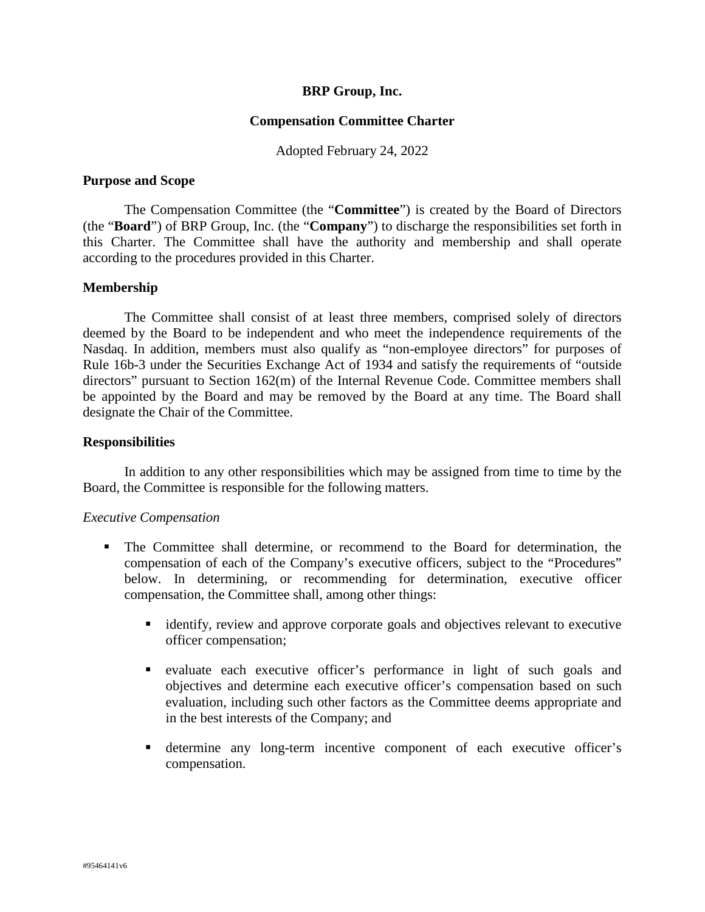## **BRP Group, Inc.**

#### **Compensation Committee Charter**

Adopted February 24, 2022

#### **Purpose and Scope**

The Compensation Committee (the "**Committee**") is created by the Board of Directors (the "**Board**") of BRP Group, Inc. (the "**Company**") to discharge the responsibilities set forth in this Charter. The Committee shall have the authority and membership and shall operate according to the procedures provided in this Charter.

### **Membership**

The Committee shall consist of at least three members, comprised solely of directors deemed by the Board to be independent and who meet the independence requirements of the Nasdaq. In addition, members must also qualify as "non-employee directors" for purposes of Rule 16b-3 under the Securities Exchange Act of 1934 and satisfy the requirements of "outside directors" pursuant to Section 162(m) of the Internal Revenue Code. Committee members shall be appointed by the Board and may be removed by the Board at any time. The Board shall designate the Chair of the Committee.

### **Responsibilities**

In addition to any other responsibilities which may be assigned from time to time by the Board, the Committee is responsible for the following matters.

#### *Executive Compensation*

- The Committee shall determine, or recommend to the Board for determination, the compensation of each of the Company's executive officers, subject to the "Procedures" below. In determining, or recommending for determination, executive officer compensation, the Committee shall, among other things:
	- identify, review and approve corporate goals and objectives relevant to executive officer compensation;
	- evaluate each executive officer's performance in light of such goals and objectives and determine each executive officer's compensation based on such evaluation, including such other factors as the Committee deems appropriate and in the best interests of the Company; and
	- determine any long-term incentive component of each executive officer's compensation.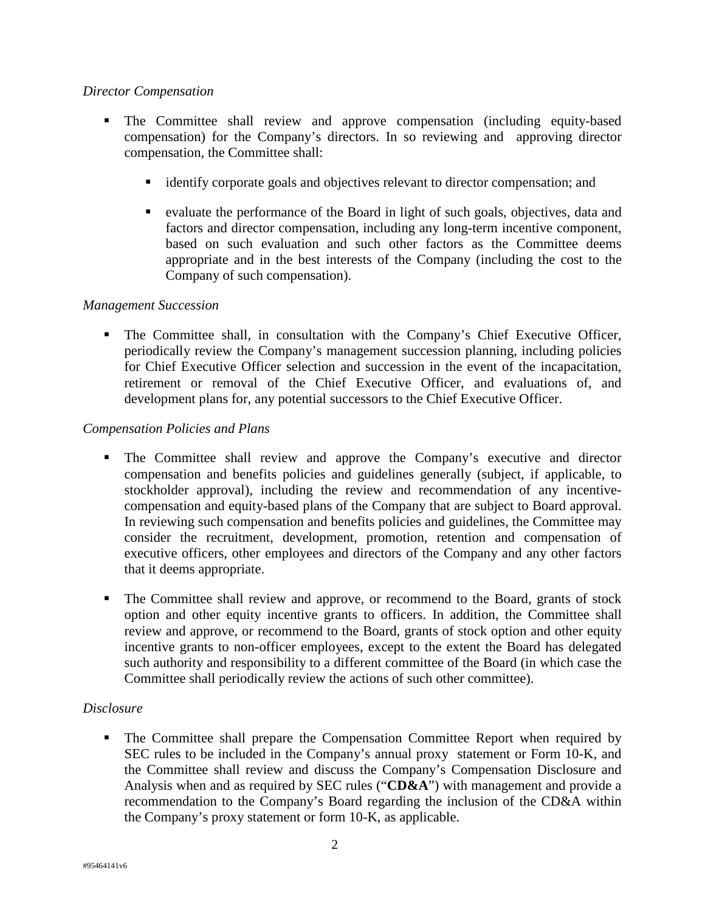# *Director Compensation*

- The Committee shall review and approve compensation (including equity-based compensation) for the Company's directors. In so reviewing and approving director compensation, the Committee shall:
	- identify corporate goals and objectives relevant to director compensation; and
	- evaluate the performance of the Board in light of such goals, objectives, data and factors and director compensation, including any long-term incentive component, based on such evaluation and such other factors as the Committee deems appropriate and in the best interests of the Company (including the cost to the Company of such compensation).

# *Management Succession*

 The Committee shall, in consultation with the Company's Chief Executive Officer, periodically review the Company's management succession planning, including policies for Chief Executive Officer selection and succession in the event of the incapacitation, retirement or removal of the Chief Executive Officer, and evaluations of, and development plans for, any potential successors to the Chief Executive Officer.

# *Compensation Policies and Plans*

- The Committee shall review and approve the Company's executive and director compensation and benefits policies and guidelines generally (subject, if applicable, to stockholder approval), including the review and recommendation of any incentivecompensation and equity-based plans of the Company that are subject to Board approval. In reviewing such compensation and benefits policies and guidelines, the Committee may consider the recruitment, development, promotion, retention and compensation of executive officers, other employees and directors of the Company and any other factors that it deems appropriate.
- The Committee shall review and approve, or recommend to the Board, grants of stock option and other equity incentive grants to officers. In addition, the Committee shall review and approve, or recommend to the Board, grants of stock option and other equity incentive grants to non-officer employees, except to the extent the Board has delegated such authority and responsibility to a different committee of the Board (in which case the Committee shall periodically review the actions of such other committee).

# *Disclosure*

 The Committee shall prepare the Compensation Committee Report when required by SEC rules to be included in the Company's annual proxy statement or Form 10-K, and the Committee shall review and discuss the Company's Compensation Disclosure and Analysis when and as required by SEC rules ("**CD&A**") with management and provide a recommendation to the Company's Board regarding the inclusion of the CD&A within the Company's proxy statement or form 10-K, as applicable.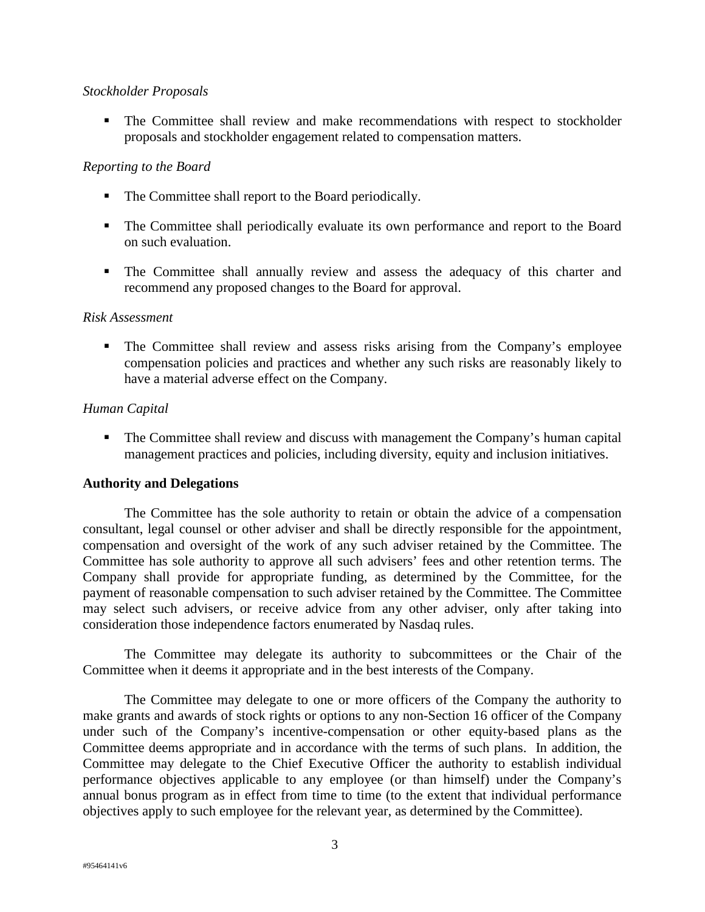## *Stockholder Proposals*

 The Committee shall review and make recommendations with respect to stockholder proposals and stockholder engagement related to compensation matters.

## *Reporting to the Board*

- The Committee shall report to the Board periodically.
- The Committee shall periodically evaluate its own performance and report to the Board on such evaluation.
- The Committee shall annually review and assess the adequacy of this charter and recommend any proposed changes to the Board for approval.

#### *Risk Assessment*

 The Committee shall review and assess risks arising from the Company's employee compensation policies and practices and whether any such risks are reasonably likely to have a material adverse effect on the Company.

## *Human Capital*

 The Committee shall review and discuss with management the Company's human capital management practices and policies, including diversity, equity and inclusion initiatives.

## **Authority and Delegations**

The Committee has the sole authority to retain or obtain the advice of a compensation consultant, legal counsel or other adviser and shall be directly responsible for the appointment, compensation and oversight of the work of any such adviser retained by the Committee. The Committee has sole authority to approve all such advisers' fees and other retention terms. The Company shall provide for appropriate funding, as determined by the Committee, for the payment of reasonable compensation to such adviser retained by the Committee. The Committee may select such advisers, or receive advice from any other adviser, only after taking into consideration those independence factors enumerated by Nasdaq rules.

The Committee may delegate its authority to subcommittees or the Chair of the Committee when it deems it appropriate and in the best interests of the Company.

The Committee may delegate to one or more officers of the Company the authority to make grants and awards of stock rights or options to any non-Section 16 officer of the Company under such of the Company's incentive-compensation or other equity-based plans as the Committee deems appropriate and in accordance with the terms of such plans. In addition, the Committee may delegate to the Chief Executive Officer the authority to establish individual performance objectives applicable to any employee (or than himself) under the Company's annual bonus program as in effect from time to time (to the extent that individual performance objectives apply to such employee for the relevant year, as determined by the Committee).